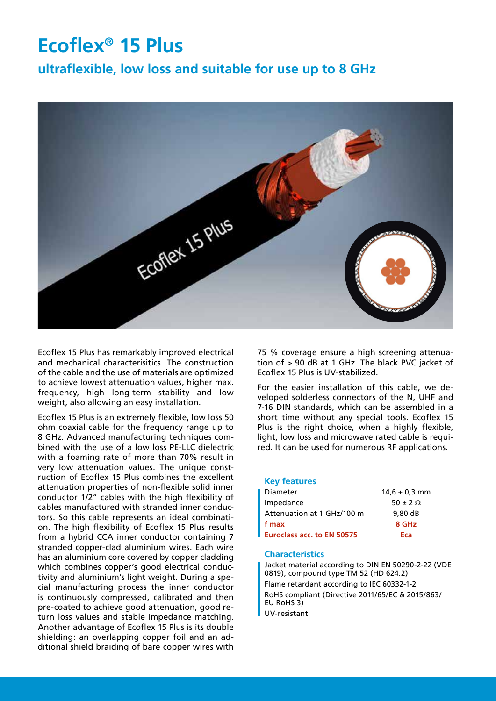# **Ecoflex® 15 Plus**

**ultraflexible, low loss and suitable for use up to 8 GHz**



Ecoflex 15 Plus has remarkably improved electrical and mechanical characterisitics. The construction of the cable and the use of materials are optimized to achieve lowest attenuation values, higher max. frequency, high long-term stability and low weight, also allowing an easy installation.

Ecoflex 15 Plus is an extremely flexible, low loss 50 ohm coaxial cable for the frequency range up to 8 GHz. Advanced manufacturing techniques combined with the use of a low loss PE-LLC dielectric with a foaming rate of more than 70% result in very low attenuation values. The unique construction of Ecoflex 15 Plus combines the excellent attenuation properties of non-flexible solid inner conductor 1/2" cables with the high flexibility of cables manufactured with stranded inner conductors. So this cable represents an ideal combination. The high flexibility of Ecoflex 15 Plus results from a hybrid CCA inner conductor containing 7 stranded copper-clad aluminium wires. Each wire has an aluminium core covered by copper cladding which combines copper's good electrical conductivity and aluminium's light weight. During a special manufacturing process the inner conductor is continuously compressed, calibrated and then pre-coated to achieve good attenuation, good return loss values and stable impedance matching. Another advantage of Ecoflex 15 Plus is its double shielding: an overlapping copper foil and an additional shield braiding of bare copper wires with

75 % coverage ensure a high screening attenuation of > 90 dB at 1 GHz. The black PVC jacket of Ecoflex 15 Plus is UV-stabilized.

For the easier installation of this cable, we developed solderless connectors of the N, UHF and 7-16 DIN standards, which can be assembled in a short time without any special tools. Ecoflex 15 Plus is the right choice, when a highly flexible, light, low loss and microwave rated cable is required. It can be used for numerous RF applications.

#### **Key features**

| $14.6 \pm 0.3$ mm |
|-------------------|
| $50 \pm 2 \Omega$ |
| 9.80dB            |
| 8 GHz             |
| Eca               |
|                   |

#### **Characteristics**

Jacket material according to DIN EN 50290-2-22 (VDE 0819), compound type TM 52 (HD 624.2) Flame retardant according to IEC 60332-1-2 RoHS compliant (Directive 2011/65/EC & 2015/863/ EU RoHS 3) UV-resistant